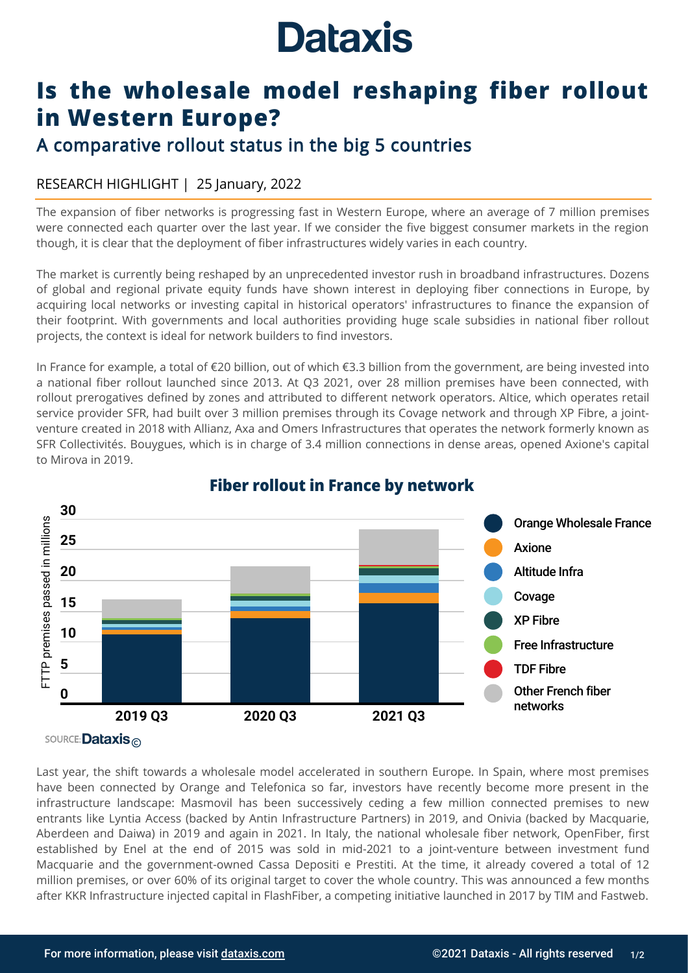# **Dataxis**

## **Is the wholesale model reshaping fiber rollout in Western Europe?**

### A comparative rollout status in the big 5 countries

#### RESEARCH HIGHLIGHT | 25 January, 2022

The expansion of fiber networks is progressing fast in Western Europe, where an average of 7 million premises were connected each quarter over the last year. If we consider the five biggest consumer markets in the region though, it is clear that the deployment of fiber infrastructures widely varies in each country.

The market is currently being reshaped by an unprecedented investor rush in broadband infrastructures. Dozens of global and regional private equity funds have shown interest in deploying fiber connections in Europe, by acquiring local networks or investing capital in historical operators' infrastructures to finance the expansion of their footprint. With governments and local authorities providing huge scale subsidies in national fiber rollout projects, the context is ideal for network builders to find investors.

In France for example, a total of €20 billion, out of which €3.3 billion from the government, are being invested into a national fiber rollout launched since 2013. At Q3 2021, over 28 million premises have been connected, with rollout prerogatives defined by zones and attributed to different network operators. Altice, which operates retail service provider SFR, had built over 3 million premises through its Covage network and through XP Fibre, a jointventure created in 2018 with Allianz, Axa and Omers Infrastructures that operates the network formerly known as SFR Collectivités. Bouygues, which is in charge of 3.4 million connections in dense areas, opened Axione's capital to Mirova in 2019.



#### **Fiber rollout in France by network**

Last year, the shift towards a wholesale model accelerated in southern Europe. In Spain, where most premises have been connected by Orange and Telefonica so far, investors have recently become more present in the infrastructure landscape: Masmovil has been successively ceding a few million connected premises to new entrants like Lyntia Access (backed by Antin Infrastructure Partners) in 2019, and Onivia (backed by Macquarie, Aberdeen and Daiwa) in 2019 and again in 2021. In Italy, the national wholesale fiber network, OpenFiber, first established by Enel at the end of 2015 was sold in mid-2021 to a joint-venture between investment fund Macquarie and the government-owned Cassa Depositi e Prestiti. At the time, it already covered a total of 12 million premises, or over 60% of its original target to cover the whole country. This was announced a few months after KKR Infrastructure injected capital in FlashFiber, a competing initiative launched in 2017 by TIM and Fastweb.